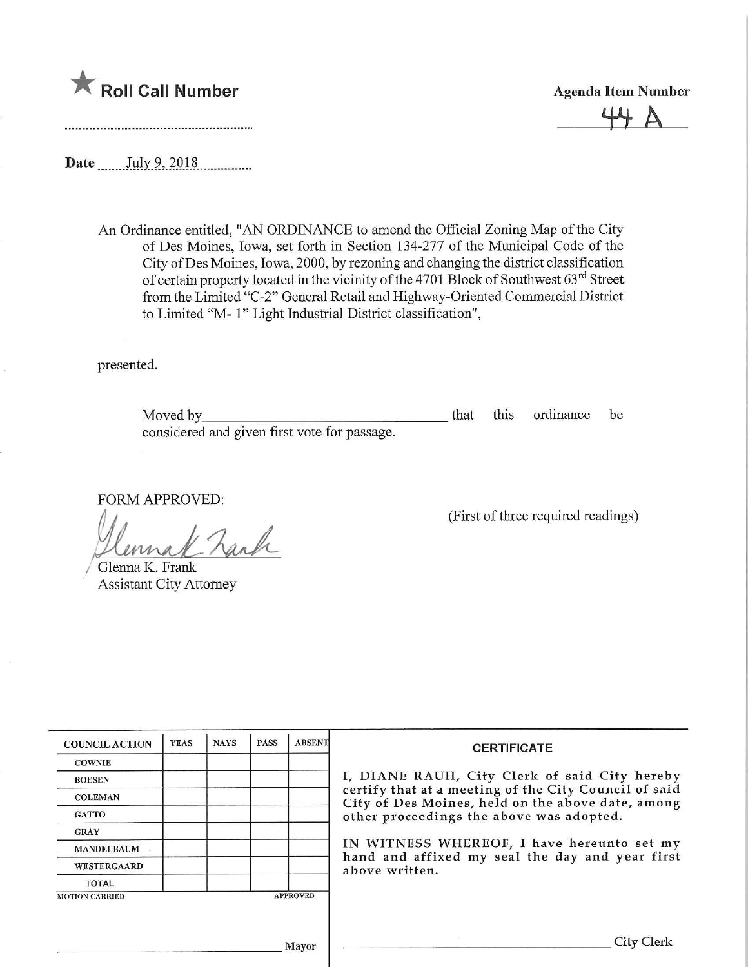

 $+$   $+$   $\wedge$ 

Date .July.9,.2018

An Ordinance entitled, "AN ORDINANCE to amend the Official Zoning Map of the City of Des Moines, Iowa, set forth in Section 134-277 of the Municipal Code of the City ofDes Moines, Iowa, 2000, by rezoning and changing the district classification of certain property located in the vicinity of the 4701 Block of Southwest 63<sup>rd</sup> Street from the Limited "C-2" General Retail and Highway-Oriented Commercial District to Limited "M- 1" Light Industrial District classification",

presented.

| Moved by                                     |  | that this ordinance be |  |
|----------------------------------------------|--|------------------------|--|
| considered and given first vote for passage. |  |                        |  |

FORM APPROVED:

 $www_1$  $\mathcal{U}_\mathcal{A}$ 

Glenna K. Frank Assistant City Attorney

(First of three required readings)

| <b>COUNCIL ACTION</b> | <b>YEAS</b> | <b>NAYS</b> | <b>PASS</b> | <b>ABSENT</b>   | СE                                                 |
|-----------------------|-------------|-------------|-------------|-----------------|----------------------------------------------------|
| <b>COWNIE</b>         |             |             |             |                 |                                                    |
| <b>BOESEN</b>         |             |             |             |                 | I, DIANE RAUH, Cit                                 |
| <b>COLEMAN</b>        |             |             |             |                 | certify that at a meetir<br>City of Des Moines, he |
| <b>GATTO</b>          |             |             |             |                 | other proceedings the                              |
| <b>GRAY</b>           |             |             |             |                 |                                                    |
| <b>MANDELBAUM</b>     |             |             |             |                 | IN WITNESS WHERE                                   |
| <b>WESTERGAARD</b>    |             |             |             |                 | hand and affixed my<br>above written.              |
| <b>TOTAL</b>          |             |             |             |                 |                                                    |
| <b>MOTION CARRIED</b> |             |             |             | <b>APPROVED</b> |                                                    |

## **RTIFICATE**

y Clerk of said City hereby ng of the City Council of said eld on the above date, among above was adopted.

OF, I have hereunto set my seal the day and year first

**Mayor**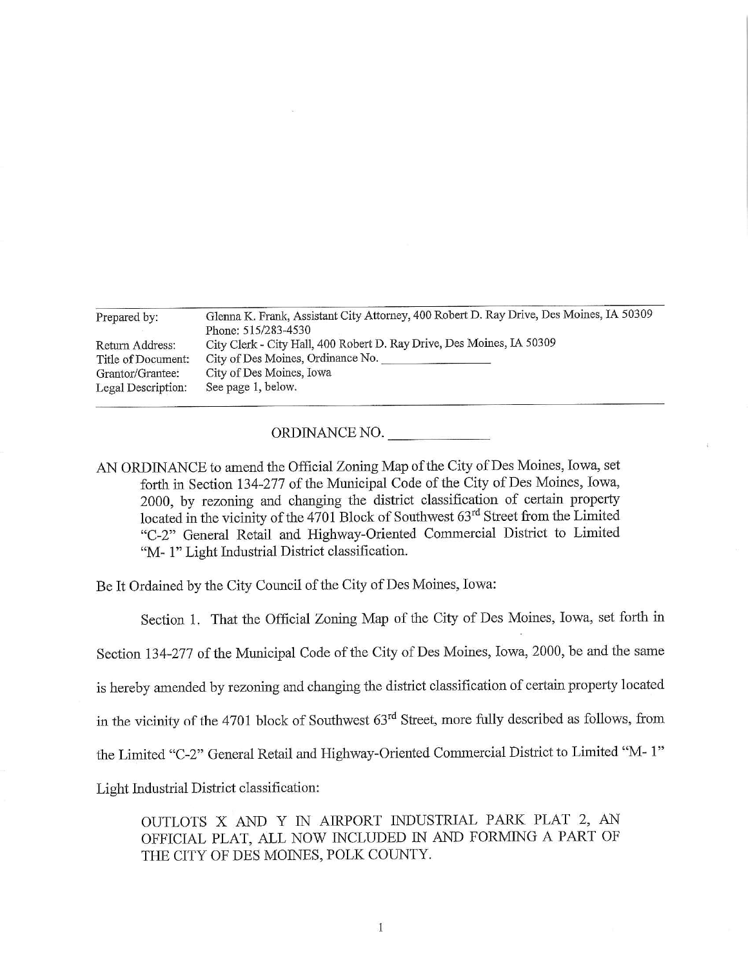| Prepared by:       | Glenna K. Frank, Assistant City Attorney, 400 Robert D. Ray Drive, Des Moines, IA 50309<br>Phone: 515/283-4530 |
|--------------------|----------------------------------------------------------------------------------------------------------------|
| Return Address:    | City Clerk - City Hall, 400 Robert D. Ray Drive, Des Moines, IA 50309                                          |
| Title of Document: | City of Des Moines, Ordinance No.                                                                              |
| Grantor/Grantee:   | City of Des Moines, Iowa                                                                                       |
| Legal Description: | See page 1, below.                                                                                             |

## ORDINANCE NO.

AN ORDINANCE to amend the Official Zoning Map of the City of Des Moines, Iowa, set forth in Section 134-277 of the Municipal Code of the City of Des Moines, Iowa, 2000, by rezoning and changing the district classification of certain property located in the vicinity of the 4701 Block of Southwest 63<sup>rd</sup> Street from the Limited "C-2" General Retail and Highway-Oriented Commercial District to Limited "M- 1" Light Industrial District classification.

Be It Ordained by the City Council of the City of Des Moines, Iowa:

Section 1. That the Official Zoning Map of the City of Des Moines, Iowa, set forth in

Section 134-277 of the Municipal Code of the City of Des Moines, Iowa, 2000, be and the same

is hereby amended by rezoning and changing the district classification of certain property located

in the vicinity of the 4701 block of Southwest  $63<sup>rd</sup>$  Street, more fully described as follows, from

the Limited "C-2" General Retail and Highway-Oriented Commercial District to Limited "M- 1"

Light Industrial District classification:

OUTLOTS X AND Y IN AIRPORT INDUSTRIAL PARK PLAT 2, AN OFFICIAL PLAT, ALL NOW INCLUDED IN AND FORMING A PART OF THE CITY OF DES MOINES, POLK COUNTY.